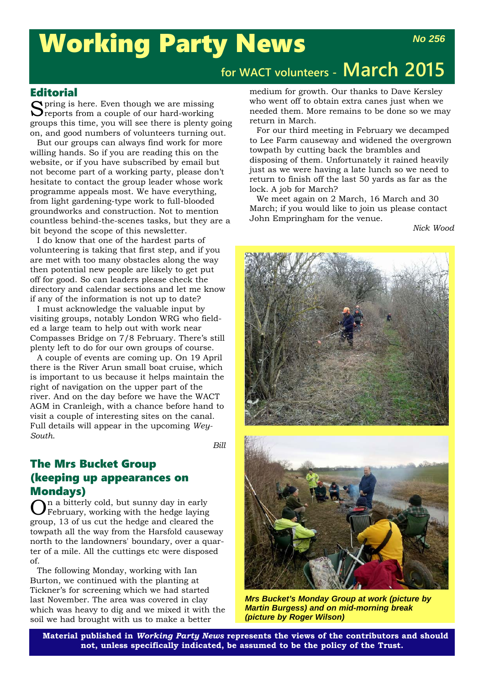# Working Party News

## **for WACT volunteers - March 2015**

#### **Editorial**

Spring is here. Even though we are missing<br>Sreports from a couple of our hard-working groups this time, you will see there is plenty going on, and good numbers of volunteers turning out.

But our groups can always find work for more willing hands. So if you are reading this on the website, or if you have subscribed by email but not become part of a working party, please don't hesitate to contact the group leader whose work programme appeals most. We have everything, from light gardening-type work to full-blooded groundworks and construction. Not to mention countless behind-the-scenes tasks, but they are a bit beyond the scope of this newsletter.

I do know that one of the hardest parts of volunteering is taking that first step, and if you are met with too many obstacles along the way then potential new people are likely to get put off for good. So can leaders please check the directory and calendar sections and let me know if any of the information is not up to date?

I must acknowledge the valuable input by visiting groups, notably London WRG who fielded a large team to help out with work near Compasses Bridge on 7/8 February. There's still plenty left to do for our own groups of course.

A couple of events are coming up. On 19 April there is the River Arun small boat cruise, which is important to us because it helps maintain the right of navigation on the upper part of the river. And on the day before we have the WACT AGM in Cranleigh, with a chance before hand to visit a couple of interesting sites on the canal. Full details will appear in the upcoming *Wey-South*.

*Bill*

### The Mrs Bucket Group (keeping up appearances on

**Mondays)**<br> $\bigcap$ n a bitterly cold, but sunny day in early  $\mathbf{O}$ <sup>n</sup> a bitterly cold, but sunny day in early February, working with the hedge laying group, 13 of us cut the hedge and cleared the towpath all the way from the Harsfold causeway north to the landowners' boundary, over a quarter of a mile. All the cuttings etc were disposed of.

The following Monday, working with Ian Burton, we continued with the planting at Tickner's for screening which we had started last November. The area was covered in clay which was heavy to dig and we mixed it with the soil we had brought with us to make a better

medium for growth. Our thanks to Dave Kersley who went off to obtain extra canes just when we needed them. More remains to be done so we may return in March.

For our third meeting in February we decamped to Lee Farm causeway and widened the overgrown towpath by cutting back the brambles and disposing of them. Unfortunately it rained heavily just as we were having a late lunch so we need to return to finish off the last 50 yards as far as the lock. A job for March?

We meet again on 2 March, 16 March and 30 March; if you would like to join us please contact John Empringham for the venue.

*Nick Wood*





*Mrs Bucket's Monday Group at work (picture by Martin Burgess) and on mid-morning break (picture by Roger Wilson)*

**Material published in** *Working Party News* **represents the views of the contributors and should not, unless specifically indicated, be assumed to be the policy of the Trust.**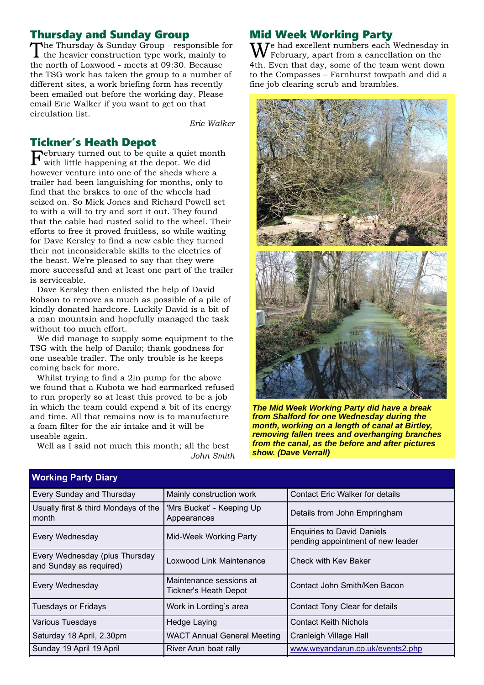### Thursday and Sunday Group

The Thursday & Sunday Group - responsible for  $\mathbf I$  the heavier construction type work, mainly to the north of Loxwood - meets at 09:30. Because the TSG work has taken the group to a number of different sites, a work briefing form has recently been emailed out before the working day. Please email Eric Walker if you want to get on that circulation list.

*Eric Walker*

#### Tickner's Heath Depot

 $\Gamma_{\text{with little hours}}$  it the homes of the quite a quiet month with little happening at the depot. We did however venture into one of the sheds where a trailer had been languishing for months, only to find that the brakes to one of the wheels had seized on. So Mick Jones and Richard Powell set to with a will to try and sort it out. They found that the cable had rusted solid to the wheel. Their efforts to free it proved fruitless, so while waiting for Dave Kersley to find a new cable they turned their not inconsiderable skills to the electrics of the beast. We're pleased to say that they were more successful and at least one part of the trailer is serviceable.

Dave Kersley then enlisted the help of David Robson to remove as much as possible of a pile of kindly donated hardcore. Luckily David is a bit of a man mountain and hopefully managed the task without too much effort.

We did manage to supply some equipment to the TSG with the help of Danilo; thank goodness for one useable trailer. The only trouble is he keeps coming back for more.

Whilst trying to find a 2in pump for the above we found that a Kubota we had earmarked refused to run properly so at least this proved to be a job in which the team could expend a bit of its energy and time. All that remains now is to manufacture a foam filter for the air intake and it will be useable again.

Well as I said not much this month; all the best *John Smith*

#### Mid Week Working Party

 $\mathbf{W}^\text{e}$  had excellent numbers each Wednesday in February, apart from a cancellation on the 4th. Even that day, some of the team went down to the Compasses – Farnhurst towpath and did a fine job clearing scrub and brambles.



*The Mid Week Working Party did have a break from Shalford for one Wednesday during the month, working on a length of canal at Birtley, removing fallen trees and overhanging branches from the canal, as the before and after pictures show. (Dave Verrall)*

| <b>Working Party Diary</b>                                |                                                                                                  |                                        |
|-----------------------------------------------------------|--------------------------------------------------------------------------------------------------|----------------------------------------|
| Every Sunday and Thursday                                 | Mainly construction work                                                                         | <b>Contact Eric Walker for details</b> |
| Usually first & third Mondays of the<br>month             | 'Mrs Bucket' - Keeping Up<br>Appearances                                                         | Details from John Empringham           |
| Every Wednesday                                           | <b>Enquiries to David Daniels</b><br>Mid-Week Working Party<br>pending appointment of new leader |                                        |
| Every Wednesday (plus Thursday<br>and Sunday as required) | Loxwood Link Maintenance                                                                         | Check with Kev Baker                   |
| Every Wednesday                                           | Maintenance sessions at<br><b>Tickner's Heath Depot</b>                                          | Contact John Smith/Ken Bacon           |
| Tuesdays or Fridays                                       | Work in Lording's area                                                                           | Contact Tony Clear for details         |
| Various Tuesdays                                          | Hedge Laying                                                                                     | <b>Contact Keith Nichols</b>           |
| Saturday 18 April, 2.30pm                                 | <b>WACT Annual General Meeting</b>                                                               | Cranleigh Village Hall                 |
| Sunday 19 April 19 April                                  | River Arun boat rally                                                                            | www.weyandarun.co.uk/events2.php       |